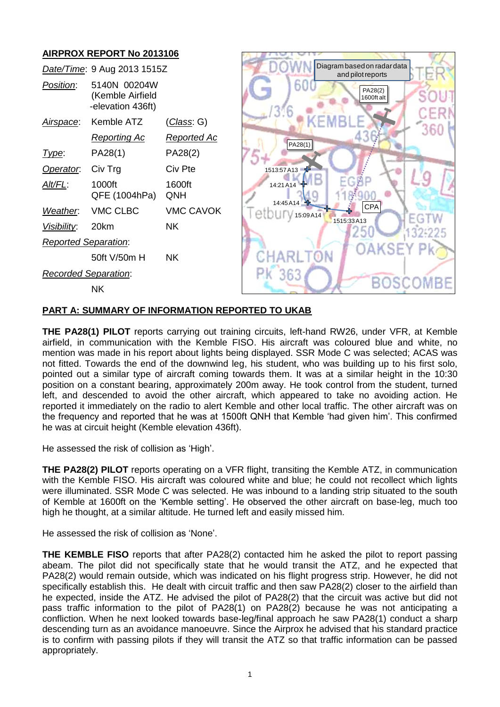# **AIRPROX REPORT No 2013106**



#### **PART A: SUMMARY OF INFORMATION REPORTED TO UKAB**

**THE PA28(1) PILOT** reports carrying out training circuits, left-hand RW26, under VFR, at Kemble airfield, in communication with the Kemble FISO. His aircraft was coloured blue and white, no mention was made in his report about lights being displayed. SSR Mode C was selected; ACAS was not fitted. Towards the end of the downwind leg, his student, who was building up to his first solo, pointed out a similar type of aircraft coming towards them. It was at a similar height in the 10:30 position on a constant bearing, approximately 200m away. He took control from the student, turned left, and descended to avoid the other aircraft, which appeared to take no avoiding action. He reported it immediately on the radio to alert Kemble and other local traffic. The other aircraft was on the frequency and reported that he was at 1500ft QNH that Kemble 'had given him'. This confirmed he was at circuit height (Kemble elevation 436ft).

He assessed the risk of collision as 'High'.

**THE PA28(2) PILOT** reports operating on a VFR flight, transiting the Kemble ATZ, in communication with the Kemble FISO. His aircraft was coloured white and blue; he could not recollect which lights were illuminated. SSR Mode C was selected. He was inbound to a landing strip situated to the south of Kemble at 1600ft on the 'Kemble setting'. He observed the other aircraft on base-leg, much too high he thought, at a similar altitude. He turned left and easily missed him.

He assessed the risk of collision as 'None'.

**THE KEMBLE FISO** reports that after PA28(2) contacted him he asked the pilot to report passing abeam. The pilot did not specifically state that he would transit the ATZ, and he expected that PA28(2) would remain outside, which was indicated on his flight progress strip. However, he did not specifically establish this. He dealt with circuit traffic and then saw PA28(2) closer to the airfield than he expected, inside the ATZ. He advised the pilot of PA28(2) that the circuit was active but did not pass traffic information to the pilot of PA28(1) on PA28(2) because he was not anticipating a confliction. When he next looked towards base-leg/final approach he saw PA28(1) conduct a sharp descending turn as an avoidance manoeuvre. Since the Airprox he advised that his standard practice is to confirm with passing pilots if they will transit the ATZ so that traffic information can be passed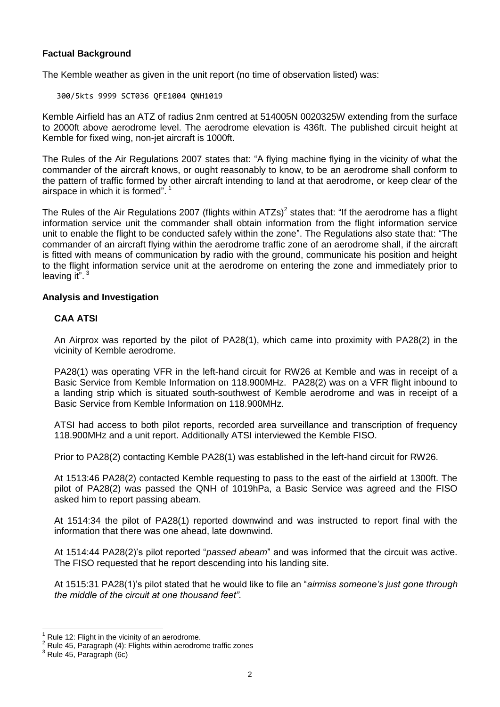# **Factual Background**

The Kemble weather as given in the unit report (no time of observation listed) was:

300/5kts 9999 SCT036 QFE1004 QNH1019

Kemble Airfield has an ATZ of radius 2nm centred at 514005N 0020325W extending from the surface to 2000ft above aerodrome level. The aerodrome elevation is 436ft. The published circuit height at Kemble for fixed wing, non-jet aircraft is 1000ft.

The Rules of the Air Regulations 2007 states that: "A flying machine flying in the vicinity of what the commander of the aircraft knows, or ought reasonably to know, to be an aerodrome shall conform to the pattern of traffic formed by other aircraft intending to land at that aerodrome, or keep clear of the airspace in which it is formed".<sup>1</sup>

The Rules of the Air Regulations 2007 (flights within ATZs)<sup>2</sup> states that: "If the aerodrome has a flight information service unit the commander shall obtain information from the flight information service unit to enable the flight to be conducted safely within the zone". The Regulations also state that: "The commander of an aircraft flying within the aerodrome traffic zone of an aerodrome shall, if the aircraft is fitted with means of communication by radio with the ground, communicate his position and height to the flight information service unit at the aerodrome on entering the zone and immediately prior to leaving it".<sup>3</sup>

### **Analysis and Investigation**

### **CAA ATSI**

An Airprox was reported by the pilot of PA28(1), which came into proximity with PA28(2) in the vicinity of Kemble aerodrome.

PA28(1) was operating VFR in the left-hand circuit for RW26 at Kemble and was in receipt of a Basic Service from Kemble Information on 118.900MHz. PA28(2) was on a VFR flight inbound to a landing strip which is situated south-southwest of Kemble aerodrome and was in receipt of a Basic Service from Kemble Information on 118.900MHz.

ATSI had access to both pilot reports, recorded area surveillance and transcription of frequency 118.900MHz and a unit report. Additionally ATSI interviewed the Kemble FISO.

Prior to PA28(2) contacting Kemble PA28(1) was established in the left-hand circuit for RW26.

At 1513:46 PA28(2) contacted Kemble requesting to pass to the east of the airfield at 1300ft. The pilot of PA28(2) was passed the QNH of 1019hPa, a Basic Service was agreed and the FISO asked him to report passing abeam.

At 1514:34 the pilot of PA28(1) reported downwind and was instructed to report final with the information that there was one ahead, late downwind.

At 1514:44 PA28(2)'s pilot reported "*passed abeam*" and was informed that the circuit was active. The FISO requested that he report descending into his landing site.

At 1515:31 PA28(1)'s pilot stated that he would like to file an "*airmiss someone's just gone through the middle of the circuit at one thousand feet".*

 $\overline{a}$ Rule 12: Flight in the vicinity of an aerodrome.

<sup>2</sup> Rule 45, Paragraph (4): Flights within aerodrome traffic zones

 $3$  Rule 45, Paragraph (6c)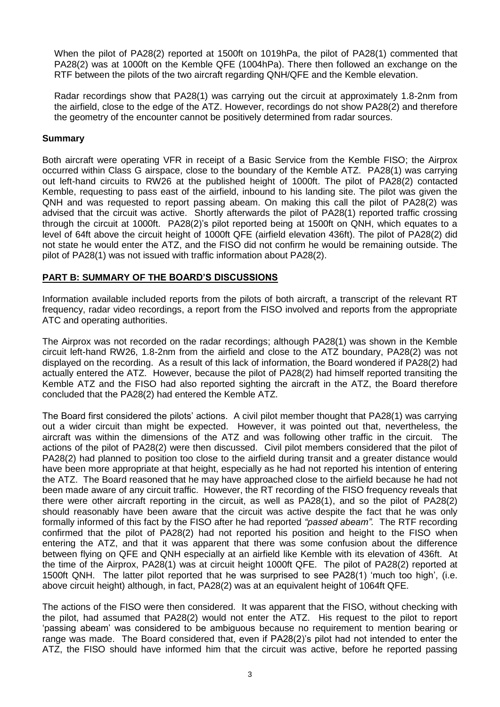When the pilot of PA28(2) reported at 1500ft on 1019hPa, the pilot of PA28(1) commented that PA28(2) was at 1000ft on the Kemble QFE (1004hPa). There then followed an exchange on the RTF between the pilots of the two aircraft regarding QNH/QFE and the Kemble elevation.

Radar recordings show that PA28(1) was carrying out the circuit at approximately 1.8-2nm from the airfield, close to the edge of the ATZ. However, recordings do not show PA28(2) and therefore the geometry of the encounter cannot be positively determined from radar sources.

### **Summary**

Both aircraft were operating VFR in receipt of a Basic Service from the Kemble FISO; the Airprox occurred within Class G airspace, close to the boundary of the Kemble ATZ. PA28(1) was carrying out left-hand circuits to RW26 at the published height of 1000ft. The pilot of PA28(2) contacted Kemble, requesting to pass east of the airfield, inbound to his landing site. The pilot was given the QNH and was requested to report passing abeam. On making this call the pilot of PA28(2) was advised that the circuit was active. Shortly afterwards the pilot of PA28(1) reported traffic crossing through the circuit at 1000ft. PA28(2)'s pilot reported being at 1500ft on QNH, which equates to a level of 64ft above the circuit height of 1000ft QFE (airfield elevation 436ft). The pilot of PA28(2) did not state he would enter the ATZ, and the FISO did not confirm he would be remaining outside. The pilot of PA28(1) was not issued with traffic information about PA28(2).

## **PART B: SUMMARY OF THE BOARD'S DISCUSSIONS**

Information available included reports from the pilots of both aircraft, a transcript of the relevant RT frequency, radar video recordings, a report from the FISO involved and reports from the appropriate ATC and operating authorities.

The Airprox was not recorded on the radar recordings; although PA28(1) was shown in the Kemble circuit left-hand RW26, 1.8-2nm from the airfield and close to the ATZ boundary, PA28(2) was not displayed on the recording. As a result of this lack of information, the Board wondered if PA28(2) had actually entered the ATZ. However, because the pilot of PA28(2) had himself reported transiting the Kemble ATZ and the FISO had also reported sighting the aircraft in the ATZ, the Board therefore concluded that the PA28(2) had entered the Kemble ATZ.

The Board first considered the pilots' actions. A civil pilot member thought that PA28(1) was carrying out a wider circuit than might be expected. However, it was pointed out that, nevertheless, the aircraft was within the dimensions of the ATZ and was following other traffic in the circuit. The actions of the pilot of PA28(2) were then discussed. Civil pilot members considered that the pilot of PA28(2) had planned to position too close to the airfield during transit and a greater distance would have been more appropriate at that height, especially as he had not reported his intention of entering the ATZ. The Board reasoned that he may have approached close to the airfield because he had not been made aware of any circuit traffic. However, the RT recording of the FISO frequency reveals that there were other aircraft reporting in the circuit, as well as PA28(1), and so the pilot of PA28(2) should reasonably have been aware that the circuit was active despite the fact that he was only formally informed of this fact by the FISO after he had reported *"passed abeam".* The RTF recording confirmed that the pilot of PA28(2) had not reported his position and height to the FISO when entering the ATZ, and that it was apparent that there was some confusion about the difference between flying on QFE and QNH especially at an airfield like Kemble with its elevation of 436ft. At the time of the Airprox, PA28(1) was at circuit height 1000ft QFE. The pilot of PA28(2) reported at 1500ft QNH. The latter pilot reported that he was surprised to see PA28(1) 'much too high', (i.e. above circuit height) although, in fact, PA28(2) was at an equivalent height of 1064ft QFE.

The actions of the FISO were then considered. It was apparent that the FISO, without checking with the pilot, had assumed that PA28(2) would not enter the ATZ. His request to the pilot to report 'passing abeam' was considered to be ambiguous because no requirement to mention bearing or range was made. The Board considered that, even if PA28(2)'s pilot had not intended to enter the ATZ, the FISO should have informed him that the circuit was active, before he reported passing